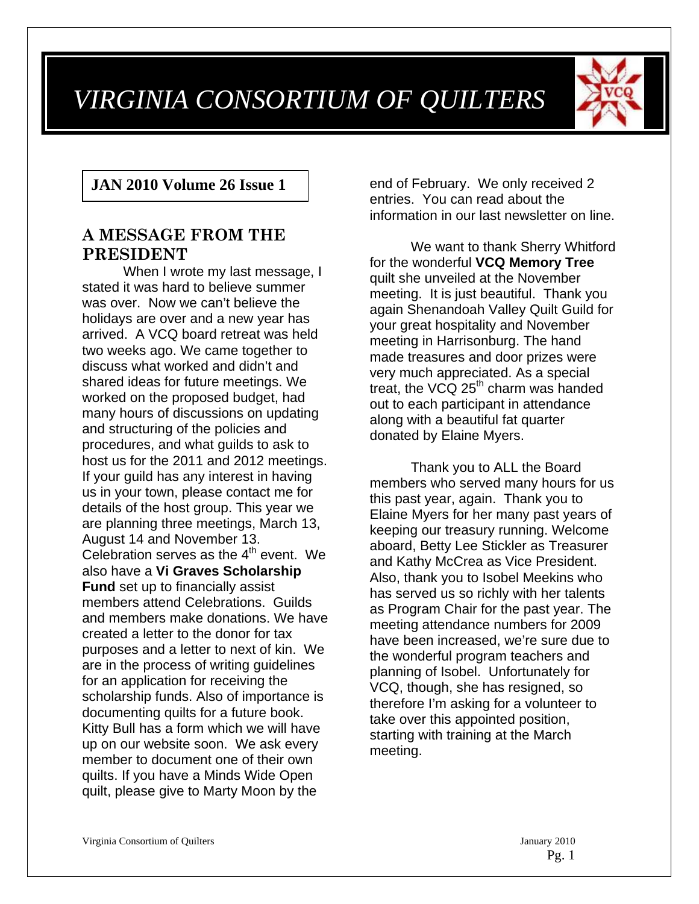# *VIRGINIA CONSORTIUM OF QUILTERS*



## **JAN 2010 Volume 26 Issue 1**

## **A MESSAGE FROM THE PRESIDENT**

When I wrote my last message, I stated it was hard to believe summer was over. Now we can't believe the holidays are over and a new year has arrived. A VCQ board retreat was held two weeks ago. We came together to discuss what worked and didn't and shared ideas for future meetings. We worked on the proposed budget, had many hours of discussions on updating and structuring of the policies and procedures, and what guilds to ask to host us for the 2011 and 2012 meetings. If your guild has any interest in having us in your town, please contact me for details of the host group. This year we are planning three meetings, March 13, August 14 and November 13. Celebration serves as the  $4<sup>th</sup>$  event. We also have a **Vi Graves Scholarship Fund** set up to financially assist members attend Celebrations. Guilds and members make donations. We have created a letter to the donor for tax purposes and a letter to next of kin. We are in the process of writing guidelines for an application for receiving the scholarship funds. Also of importance is documenting quilts for a future book. Kitty Bull has a form which we will have up on our website soon. We ask every member to document one of their own quilts. If you have a Minds Wide Open quilt, please give to Marty Moon by the

end of February. We only received 2 entries. You can read about the information in our last newsletter on line.

 We want to thank Sherry Whitford for the wonderful **VCQ Memory Tree** quilt she unveiled at the November meeting. It is just beautiful. Thank you again Shenandoah Valley Quilt Guild for your great hospitality and November meeting in Harrisonburg. The hand made treasures and door prizes were very much appreciated. As a special treat, the VCQ  $25<sup>th</sup>$  charm was handed out to each participant in attendance along with a beautiful fat quarter donated by Elaine Myers.

 Thank you to ALL the Board members who served many hours for us this past year, again. Thank you to Elaine Myers for her many past years of keeping our treasury running. Welcome aboard, Betty Lee Stickler as Treasurer and Kathy McCrea as Vice President. Also, thank you to Isobel Meekins who has served us so richly with her talents as Program Chair for the past year. The meeting attendance numbers for 2009 have been increased, we're sure due to the wonderful program teachers and planning of Isobel. Unfortunately for VCQ, though, she has resigned, so therefore I'm asking for a volunteer to take over this appointed position, starting with training at the March meeting.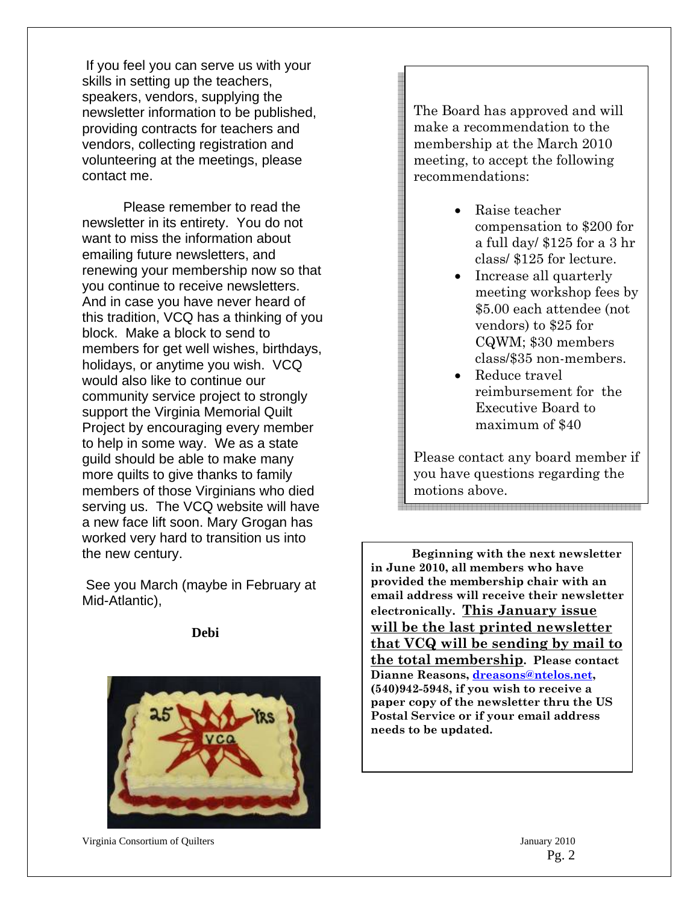If you feel you can serve us with your skills in setting up the teachers, speakers, vendors, supplying the newsletter information to be published, providing contracts for teachers and vendors, collecting registration and volunteering at the meetings, please contact me.

 Please remember to read the newsletter in its entirety. You do not want to miss the information about emailing future newsletters, and renewing your membership now so that you continue to receive newsletters. And in case you have never heard of this tradition, VCQ has a thinking of you block. Make a block to send to members for get well wishes, birthdays, holidays, or anytime you wish. VCQ would also like to continue our community service project to strongly support the Virginia Memorial Quilt Project by encouraging every member to help in some way. We as a state guild should be able to make many more quilts to give thanks to family members of those Virginians who died serving us. The VCQ website will have a new face lift soon. Mary Grogan has worked very hard to transition us into the new century.

 See you March (maybe in February at Mid-Atlantic),

**Debi**



Virginia Consortium of Quilters January 2010

The Board has approved and will make a recommendation to the membership at the March 2010 meeting, to accept the following recommendations:

- Raise teacher compensation to \$200 for a full day/ \$125 for a 3 hr class/ \$125 for lecture.
- Increase all quarterly meeting workshop fees by \$5.00 each attendee (not vendors) to \$25 for CQWM; \$30 members class/\$35 non-members.
- Reduce travel reimbursement for the Executive Board to maximum of \$40

Please contact any board member if you have questions regarding the motions above.

**Beginning with the next newsletter in June 2010, all members who have provided the membership chair with an email address will receive their newsletter electronically. This January issue will be the last printed newsletter that VCQ will be sending by mail to the total membership. Please contact Dianne Reasons, dreasons@ntelos.net, (540)942-5948, if you wish to receive a paper copy of the newsletter thru the US Postal Service or if your email address needs to be updated.**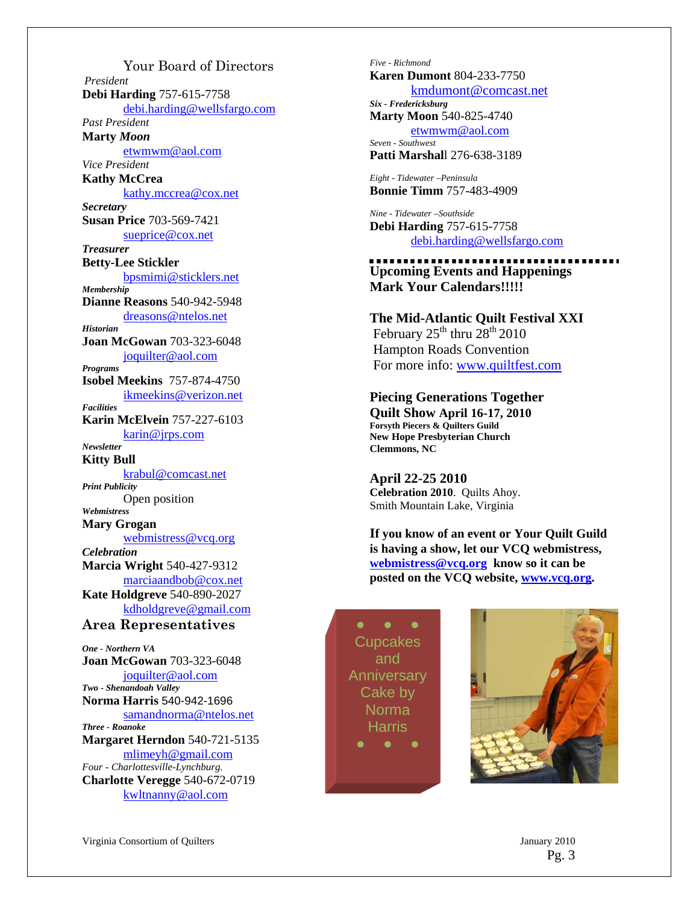Your Board of Directors *President*  **Debi Harding** 757-615-7758 debi.harding@wellsfargo.com *Past President* **Marty** *Moon* etwmwm@aol.com *Vice President*  **Kathy McCrea**  kathy.mccrea@cox.net *Secretary*  **Susan Price** 703-569-7421 sueprice@cox.net *Treasurer*  **Betty-Lee Stickler**  bpsmimi@sticklers.net *Membership*  **Dianne Reasons** 540-942-5948 dreasons@ntelos.net *Historian*  **Joan McGowan** 703-323-6048 joquilter@aol.com *Programs*  **Isobel Meekins** 757-874-4750 ikmeekins@verizon.net *Facilities*  **Karin McElvein** 757-227-6103 karin@jrps.com *Newsletter*  **Kitty Bull**  krabul@comcast.net *Print Publicity*  Open position *Webmistress*  **Mary Grogan**  webmistress@vcq.org *Celebration*  **Marcia Wright** 540-427-9312 marciaandbob@cox.net **Kate Holdgreve** 540-890-2027 kdholdgreve@gmail.com **Area Representatives**  *One - Northern VA*  **Joan McGowan** 703-323-6048 joquilter@aol.com *Two - Shenandoah Valley* **Norma Harris** 540-942-1696

samandnorma@ntelos.net *Three - Roanoke* 

**Margaret Herndon** 540-721-5135 mlimeyh@gmail.com

*Four - Charlottesville-Lynchburg.*  **Charlotte Veregge** 540-672-0719 kwltnanny@aol.com

Virginia Consortium of Quilters January 2010

*Five - Richmond*  **Karen Dumont** 804-233-7750 kmdumont@comcast.net *Six - Fredericksburg*  **Marty Moon** 540-825-4740

etwmwm@aol.com *Seven - Southwest*  **Patti Marshal**l 276-638-3189

*Eight - Tidewater –Peninsula*  **Bonnie Timm** 757-483-4909

*Nine - Tidewater –Southside*  **Debi Harding** 757-615-7758 debi.harding@wellsfargo.com

## **Upcoming Events and Happenings Mark Your Calendars!!!!!**

**The Mid-Atlantic Quilt Festival XXI** February  $25<sup>th</sup>$  thru  $28<sup>th</sup>$  2010 Hampton Roads Convention For more info: www.quiltfest.com

**Piecing Generations Together Quilt Show April 16-17, 2010 Forsyth Piecers & Quilters Guild New Hope Presbyterian Church Clemmons, NC** 

**April 22-25 2010 Celebration 2010**. Quilts Ahoy. Smith Mountain Lake, Virginia

**If you know of an event or Your Quilt Guild is having a show, let our VCQ webmistress, webmistress@vcq.org know so it can be posted on the VCQ website, www.vcq.org.** 

**Cupcakes** and **Anniversary** Cake by Norma Harris



Pg. 3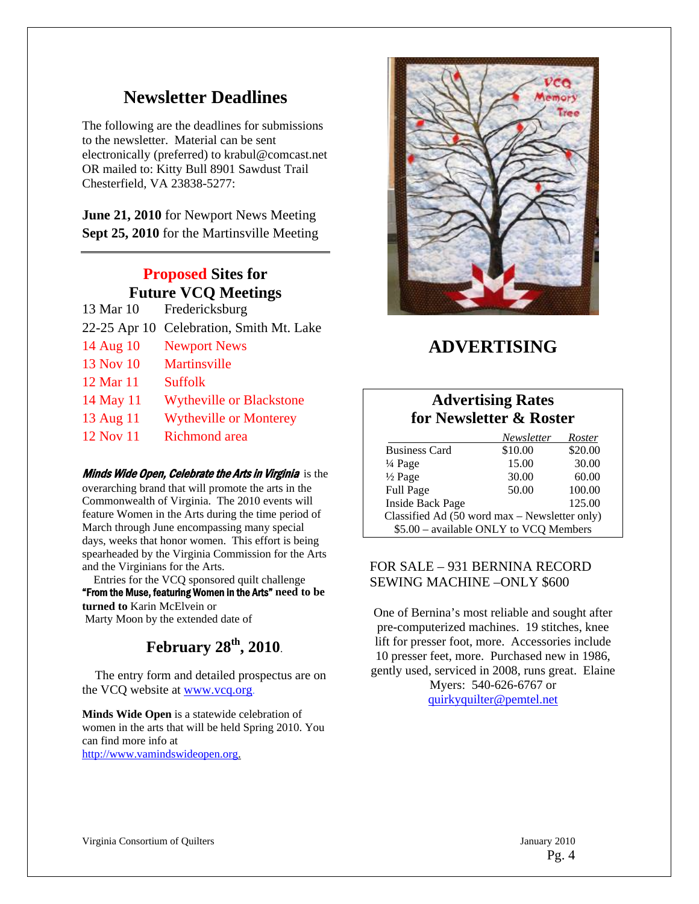## **Newsletter Deadlines**

The following are the deadlines for submissions to the newsletter. Material can be sent electronically (preferred) to krabul@comcast.net OR mailed to: Kitty Bull 8901 Sawdust Trail Chesterfield, VA 23838-5277:

**June 21, 2010** for Newport News Meeting **Sept 25, 2010** for the Martinsville Meeting

## **Proposed Sites for Future VCQ Meetings**

- 13 Mar 10 Fredericksburg
- 22-25 Apr 10 Celebration, Smith Mt. Lake
- 14 Aug 10 Newport News
- 13 Nov 10 Martinsville
- 12 Mar 11 Suffolk
- 14 May 11 Wytheville or Blackstone
- 13 Aug 11 Wytheville or Monterey
- 12 Nov 11 Richmond area

#### **Minds Wide Open, Celebrate the Arts in Virginia** is the overarching brand that will promote the arts in the Commonwealth of Virginia. The 2010 events will feature Women in the Arts during the time period of March through June encompassing many special days, weeks that honor women. This effort is being spearheaded by the Virginia Commission for the Arts and the Virginians for the Arts.

 Entries for the VCQ sponsored quilt challenge "From the Muse, featuring Women in the Arts" **need to be turned to** Karin McElvein or Marty Moon by the extended date of

## **February 28th, 2010**.

 The entry form and detailed prospectus are on the VCQ website at www.vcq.org.

**Minds Wide Open** is a statewide celebration of women in the arts that will be held Spring 2010. You can find more info at http://www.vamindswideopen.org.



## **ADVERTISING**

## **Advertising Rates for Newsletter & Roster**

|                                               | Newsletter | Roster  |
|-----------------------------------------------|------------|---------|
| <b>Business Card</b>                          | \$10.00    | \$20.00 |
| $\frac{1}{4}$ Page                            | 15.00      | 30.00   |
| $\frac{1}{2}$ Page                            | 30.00      | 60.00   |
| Full Page                                     | 50.00      | 100.00  |
| <b>Inside Back Page</b>                       |            | 125.00  |
| Classified Ad (50 word max – Newsletter only) |            |         |
| \$5.00 - available ONLY to VCQ Members        |            |         |

## FOR SALE – 931 BERNINA RECORD SEWING MACHINE –ONLY \$600

One of Bernina's most reliable and sought after pre-computerized machines. 19 stitches, knee lift for presser foot, more. Accessories include 10 presser feet, more. Purchased new in 1986, gently used, serviced in 2008, runs great. Elaine Myers: 540-626-6767 or quirkyquilter@pemtel.net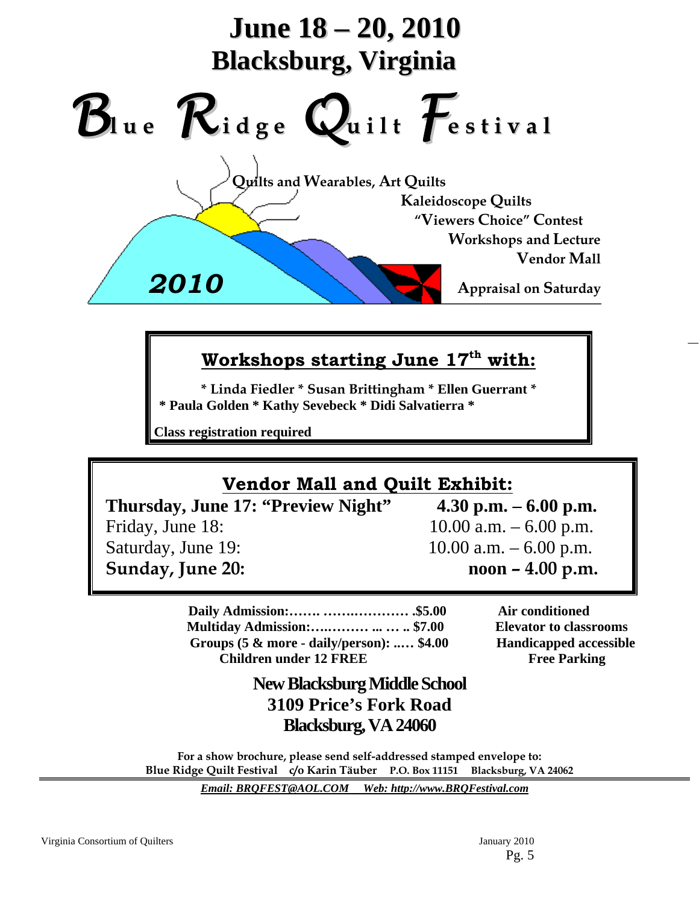

## **Workshops starting June 17th with:**

**\* Linda Fiedler \* Susan Brittingham \* Ellen Guerrant \* \* Paula Golden \* Kathy Sevebeck \* Didi Salvatierra \***

**Class registration required** 

# **Vendor Mall and Quilt Exhibit:**

 **Thursday, June 17: "Preview Night" 4.30 p.m. – 6.00 p.m.** Friday, June 18: 10.00 a.m. – 6.00 p.m. Saturday, June 19: 10.00 a.m. – 6.00 p.m.  **Sunday, June 20: noon – 4.00 p.m.** 

 **Daily Admission:……. …….………… .\$5.00 Air conditioned Multiday Admission:….……… ... … .. \$7.00 Elevator to classrooms Groups (5 & more - daily/person): ..… \$4.00 Handicapped accessible Children under 12 FREE** Free Parking

## **New Blacksburg Middle School 3109 Price's Fork Road Blacksburg, VA 24060**

**For a show brochure, please send self-addressed stamped envelope to: Blue Ridge Quilt Festival c/o Karin Täuber P.O. Box 11151 Blacksburg, VA 24062** 

*Email: BRQFEST@AOL.COM Web: http://www.BRQFestival.com*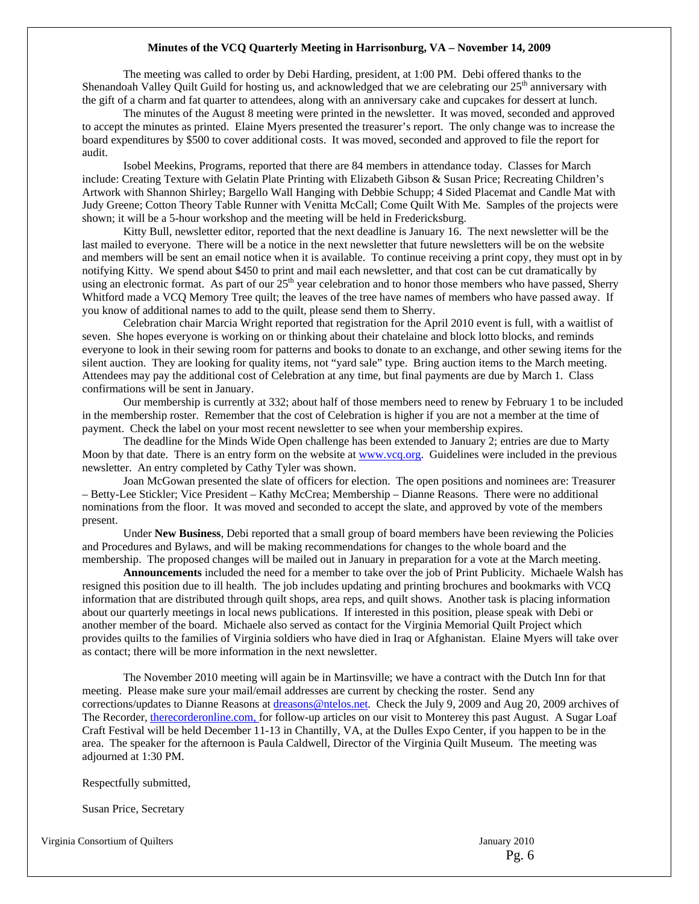#### **Minutes of the VCQ Quarterly Meeting in Harrisonburg, VA – November 14, 2009**

 The meeting was called to order by Debi Harding, president, at 1:00 PM. Debi offered thanks to the Shenandoah Valley Quilt Guild for hosting us, and acknowledged that we are celebrating our  $25<sup>th</sup>$  anniversary with the gift of a charm and fat quarter to attendees, along with an anniversary cake and cupcakes for dessert at lunch.

 The minutes of the August 8 meeting were printed in the newsletter. It was moved, seconded and approved to accept the minutes as printed. Elaine Myers presented the treasurer's report. The only change was to increase the board expenditures by \$500 to cover additional costs. It was moved, seconded and approved to file the report for audit.

 Isobel Meekins, Programs, reported that there are 84 members in attendance today. Classes for March include: Creating Texture with Gelatin Plate Printing with Elizabeth Gibson & Susan Price; Recreating Children's Artwork with Shannon Shirley; Bargello Wall Hanging with Debbie Schupp; 4 Sided Placemat and Candle Mat with Judy Greene; Cotton Theory Table Runner with Venitta McCall; Come Quilt With Me. Samples of the projects were shown; it will be a 5-hour workshop and the meeting will be held in Fredericksburg.

 Kitty Bull, newsletter editor, reported that the next deadline is January 16. The next newsletter will be the last mailed to everyone. There will be a notice in the next newsletter that future newsletters will be on the website and members will be sent an email notice when it is available. To continue receiving a print copy, they must opt in by notifying Kitty. We spend about \$450 to print and mail each newsletter, and that cost can be cut dramatically by using an electronic format. As part of our 25<sup>th</sup> year celebration and to honor those members who have passed, Sherry Whitford made a VCQ Memory Tree quilt; the leaves of the tree have names of members who have passed away. If you know of additional names to add to the quilt, please send them to Sherry.

 Celebration chair Marcia Wright reported that registration for the April 2010 event is full, with a waitlist of seven. She hopes everyone is working on or thinking about their chatelaine and block lotto blocks, and reminds everyone to look in their sewing room for patterns and books to donate to an exchange, and other sewing items for the silent auction. They are looking for quality items, not "yard sale" type. Bring auction items to the March meeting. Attendees may pay the additional cost of Celebration at any time, but final payments are due by March 1. Class confirmations will be sent in January.

 Our membership is currently at 332; about half of those members need to renew by February 1 to be included in the membership roster. Remember that the cost of Celebration is higher if you are not a member at the time of payment. Check the label on your most recent newsletter to see when your membership expires.

 The deadline for the Minds Wide Open challenge has been extended to January 2; entries are due to Marty Moon by that date. There is an entry form on the website at www.vcq.org. Guidelines were included in the previous newsletter. An entry completed by Cathy Tyler was shown.

 Joan McGowan presented the slate of officers for election. The open positions and nominees are: Treasurer – Betty-Lee Stickler; Vice President – Kathy McCrea; Membership – Dianne Reasons. There were no additional nominations from the floor. It was moved and seconded to accept the slate, and approved by vote of the members present.

 Under **New Business**, Debi reported that a small group of board members have been reviewing the Policies and Procedures and Bylaws, and will be making recommendations for changes to the whole board and the membership. The proposed changes will be mailed out in January in preparation for a vote at the March meeting.

**Announcements** included the need for a member to take over the job of Print Publicity. Michaele Walsh has resigned this position due to ill health. The job includes updating and printing brochures and bookmarks with VCQ information that are distributed through quilt shops, area reps, and quilt shows. Another task is placing information about our quarterly meetings in local news publications. If interested in this position, please speak with Debi or another member of the board. Michaele also served as contact for the Virginia Memorial Quilt Project which provides quilts to the families of Virginia soldiers who have died in Iraq or Afghanistan. Elaine Myers will take over as contact; there will be more information in the next newsletter.

 The November 2010 meeting will again be in Martinsville; we have a contract with the Dutch Inn for that meeting. Please make sure your mail/email addresses are current by checking the roster. Send any corrections/updates to Dianne Reasons at dreasons@ntelos.net. Check the July 9, 2009 and Aug 20, 2009 archives of The Recorder, therecorderonline.com, for follow-up articles on our visit to Monterey this past August. A Sugar Loaf Craft Festival will be held December 11-13 in Chantilly, VA, at the Dulles Expo Center, if you happen to be in the area. The speaker for the afternoon is Paula Caldwell, Director of the Virginia Quilt Museum. The meeting was adjourned at 1:30 PM.

Respectfully submitted,

Susan Price, Secretary

Virginia Consortium of Quilters January 2010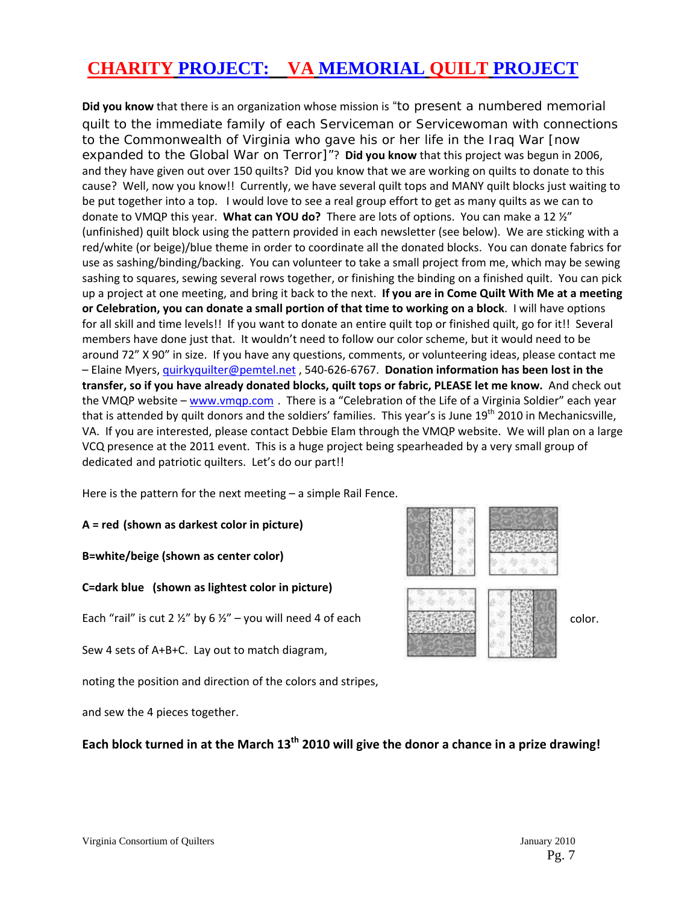# **CHARITY PROJECT: VA MEMORIAL QUILT PROJECT**

**Did you know** that there is an organization whose mission is "to present a numbered memorial quilt to the immediate family of each Serviceman or Servicewoman with connections to the Commonwealth of Virginia who gave his or her life in the Iraq War [now expanded to the Global War on Terror]"? **Did you know** that this project was begun in 2006, and they have given out over 150 quilts? Did you know that we are working on quilts to donate to this cause? Well, now you know!! Currently, we have several quilt tops and MANY quilt blocks just waiting to be put together into a top. I would love to see a real group effort to get as many quilts as we can to donate to VMQP this year. **What can YOU do?** There are lots of options. You can make a 12 ½" (unfinished) quilt block using the pattern provided in each newsletter (see below). We are sticking with a red/white (or beige)/blue theme in order to coordinate all the donated blocks. You can donate fabrics for use as sashing/binding/backing. You can volunteer to take a small project from me, which may be sewing sashing to squares, sewing several rows together, or finishing the binding on a finished quilt. You can pick up a project at one meeting, and bring it back to the next. **If you are in Come Quilt With Me at a meeting or Celebration, you can donate a small portion of that time to working on a block**. I will have options for all skill and time levels!! If you want to donate an entire quilt top or finished quilt, go for it!! Several members have done just that. It wouldn't need to follow our color scheme, but it would need to be around 72" X 90" in size. If you have any questions, comments, or volunteering ideas, please contact me – Elaine Myers, quirkyquilter@pemtel.net , 540‐626‐6767. **Donation information has been lost in the transfer, so if you have already donated blocks, quilt tops or fabric, PLEASE let me know.** And check out the VMQP website – www.vmqp.com. There is a "Celebration of the Life of a Virginia Soldier" each year that is attended by quilt donors and the soldiers' families. This year's is June 19<sup>th</sup> 2010 in Mechanicsville, VA. If you are interested, please contact Debbie Elam through the VMQP website. We will plan on a large VCQ presence at the 2011 event. This is a huge project being spearheaded by a very small group of dedicated and patriotic quilters. Let's do our part!!

Here is the pattern for the next meeting – a simple Rail Fence.

**A = red (shown as darkest color in picture)** 

**B=white/beige (shown as center color)** 

**C=dark blue (shown as lightest color in picture)** 

Each "rail" is cut 2  $\frac{1}{2}$ " by 6  $\frac{1}{2}$ " – you will need 4 of each color.

Sew 4 sets of A+B+C. Lay out to match diagram,

noting the position and direction of the colors and stripes,

and sew the 4 pieces together.

Each block turned in at the March 13<sup>th</sup> 2010 will give the donor a chance in a prize drawing!

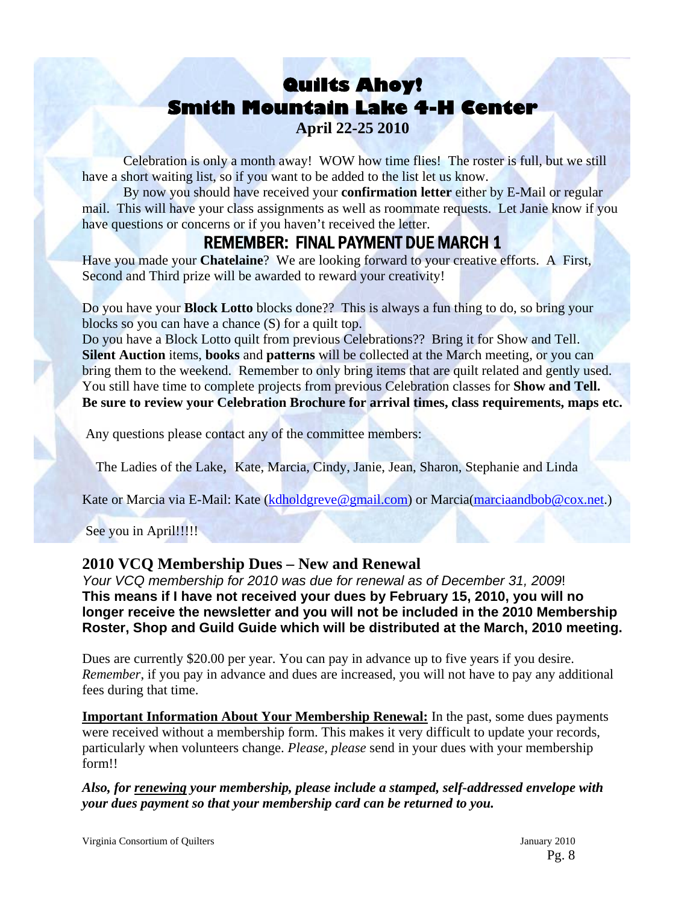# **Quilts Ahoy! Smith Mountain Lake 4-H Center**

**April 22-25 2010** 

 Celebration is only a month away! WOW how time flies! The roster is full, but we still have a short waiting list, so if you want to be added to the list let us know.

 By now you should have received your **confirmation letter** either by E-Mail or regular mail. This will have your class assignments as well as roommate requests. Let Janie know if you have questions or concerns or if you haven't received the letter.

## REMEMBER: FINAL PAYMENT DUE MARCH 1

Have you made your **Chatelaine**? We are looking forward to your creative efforts. A First, Second and Third prize will be awarded to reward your creativity!

Do you have your **Block Lotto** blocks done?? This is always a fun thing to do, so bring your blocks so you can have a chance (S) for a quilt top.

Do you have a Block Lotto quilt from previous Celebrations?? Bring it for Show and Tell. **Silent Auction** items, **books** and **patterns** will be collected at the March meeting, or you can bring them to the weekend. Remember to only bring items that are quilt related and gently used. You still have time to complete projects from previous Celebration classes for **Show and Tell. Be sure to review your Celebration Brochure for arrival times, class requirements, maps etc.** 

Any questions please contact any of the committee members:

The Ladies of the Lake, Kate, Marcia, Cindy, Janie, Jean, Sharon, Stephanie and Linda

Kate or Marcia via E-Mail: Kate (kdholdgreve@gmail.com) or Marcia(marciaandbob@cox.net.)

See you in April!!!!!

## **2010 VCQ Membership Dues – New and Renewal**

*Your VCQ membership for 2010 was due for renewal as of December 31, 2009*! **This means if I have not received your dues by February 15, 2010, you will no longer receive the newsletter and you will not be included in the 2010 Membership Roster, Shop and Guild Guide which will be distributed at the March, 2010 meeting.** 

Dues are currently \$20.00 per year. You can pay in advance up to five years if you desire. *Remember*, if you pay in advance and dues are increased, you will not have to pay any additional fees during that time.

**Important Information About Your Membership Renewal:** In the past, some dues payments were received without a membership form. This makes it very difficult to update your records, particularly when volunteers change. *Please, please* send in your dues with your membership form!!

*Also, for renewing your membership, please include a stamped, self-addressed envelope with your dues payment so that your membership card can be returned to you.*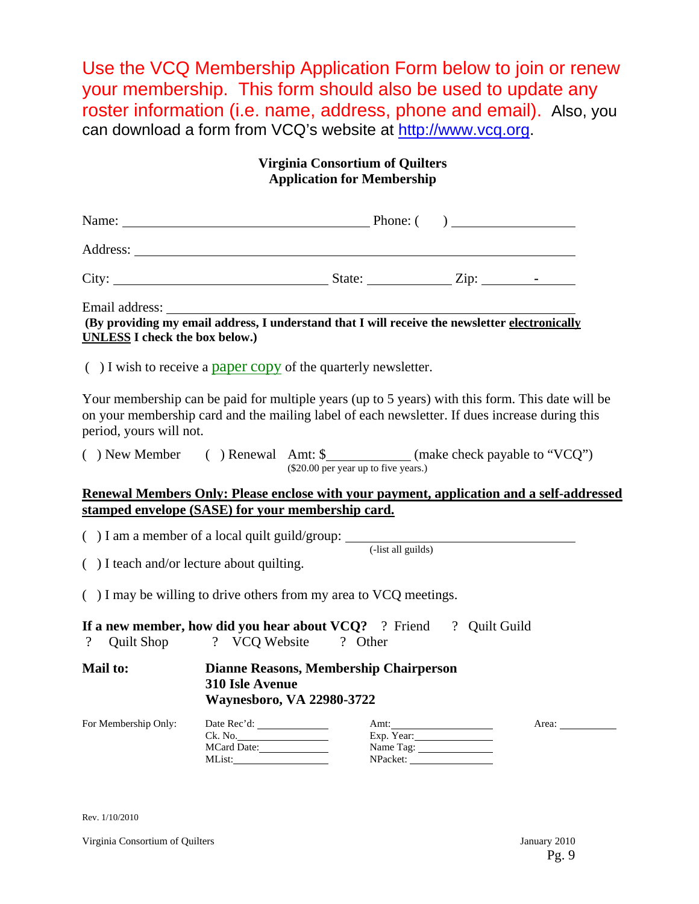Use the VCQ Membership Application Form below to join or renew your membership. This form should also be used to update any roster information (i.e. name, address, phone and email). Also, you can download a form from VCQ's website at http://www.vcq.org.

## **Virginia Consortium of Quilters Application for Membership**

| Name:    | Phone: ( |  |
|----------|----------|--|
| Address: |          |  |

City: State: Zip: **-**

Email address:

**(By providing my email address, I understand that I will receive the newsletter electronically UNLESS I check the box below.)** 

 $($ ) I wish to receive a paper copy of the quarterly newsletter.

Your membership can be paid for multiple years (up to 5 years) with this form. This date will be on your membership card and the mailing label of each newsletter. If dues increase during this period, yours will not.

| $( )$ New Member | $( )$ Renewal Amt: \$ |                                      | (make check payable to "VCQ") |
|------------------|-----------------------|--------------------------------------|-------------------------------|
|                  |                       | (\$20.00 per year up to five years.) |                               |

#### **Renewal Members Only: Please enclose with your payment, application and a self-addressed stamped envelope (SASE) for your membership card.**

( $)$  I am a member of a local quilt guild/group:  $\frac{1}{\text{dist all guides}}$ 

( ) I teach and/or lecture about quilting.

( ) I may be willing to drive others from my area to VCQ meetings.

**If a new member, how did you hear about VCQ?** ? Friend ? Quilt Guild ? Quilt Shop ? VCQ Website ? Other

**Mail to: Dianne Reasons, Membership Chairperson 310 Isle Avenue Waynesboro, VA 22980-3722** 

| For Membership Only: | Date Rec'd: | Amt:       | Area: |
|----------------------|-------------|------------|-------|
|                      | Ck. No.     | Exp. Year: |       |
|                      | MCard Date: | Name Tag:  |       |
|                      | MList:      | NPacket:   |       |

Rev. 1/10/2010

Virginia Consortium of Quilters January 2010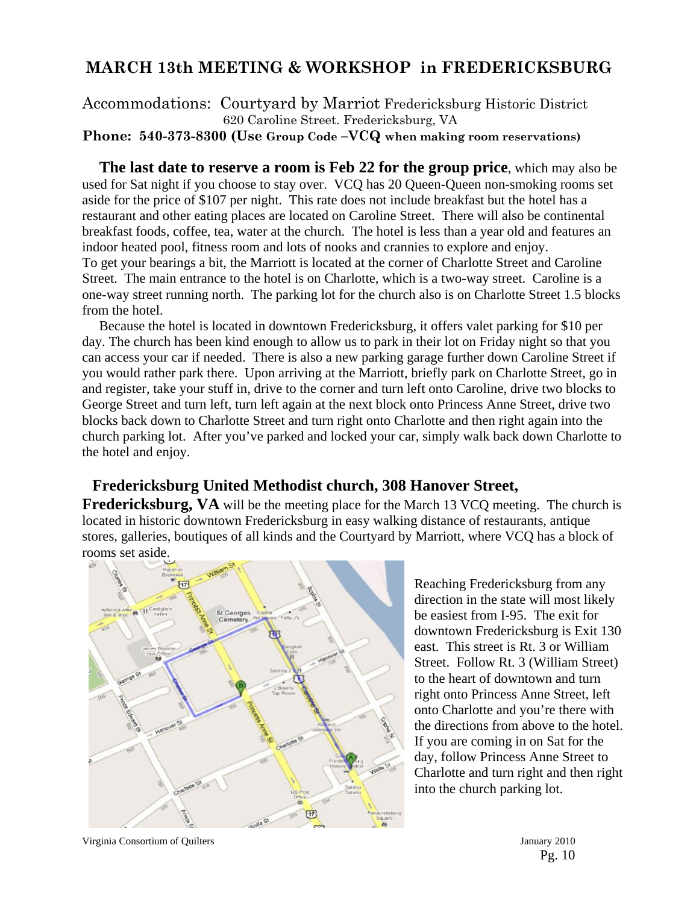## **MARCH 13th MEETING & WORKSHOP in FREDERICKSBURG**

Accommodations: Courtyard by Marriot Fredericksburg Historic District 620 Caroline Street. Fredericksburg, VA **Phone: 540-373-8300 (Use Group Code –VCQ when making room reservations)** 

 **The last date to reserve a room is Feb 22 for the group price**, which may also be used for Sat night if you choose to stay over. VCQ has 20 Queen-Queen non-smoking rooms set aside for the price of \$107 per night. This rate does not include breakfast but the hotel has a restaurant and other eating places are located on Caroline Street. There will also be continental breakfast foods, coffee, tea, water at the church. The hotel is less than a year old and features an indoor heated pool, fitness room and lots of nooks and crannies to explore and enjoy. To get your bearings a bit, the Marriott is located at the corner of Charlotte Street and Caroline Street. The main entrance to the hotel is on Charlotte, which is a two-way street. Caroline is a one-way street running north. The parking lot for the church also is on Charlotte Street 1.5 blocks from the hotel.

 Because the hotel is located in downtown Fredericksburg, it offers valet parking for \$10 per day. The church has been kind enough to allow us to park in their lot on Friday night so that you can access your car if needed. There is also a new parking garage further down Caroline Street if you would rather park there. Upon arriving at the Marriott, briefly park on Charlotte Street, go in and register, take your stuff in, drive to the corner and turn left onto Caroline, drive two blocks to George Street and turn left, turn left again at the next block onto Princess Anne Street, drive two blocks back down to Charlotte Street and turn right onto Charlotte and then right again into the church parking lot. After you've parked and locked your car, simply walk back down Charlotte to the hotel and enjoy.

## **Fredericksburg United Methodist church, 308 Hanover Street,**

**Fredericksburg, VA** will be the meeting place for the March 13 VCQ meeting. The church is located in historic downtown Fredericksburg in easy walking distance of restaurants, antique stores, galleries, boutiques of all kinds and the Courtyard by Marriott, where VCQ has a block of rooms set aside.



Reaching Fredericksburg from any direction in the state will most likely be easiest from I-95. The exit for downtown Fredericksburg is Exit 130 east. This street is Rt. 3 or William Street. Follow Rt. 3 (William Street) to the heart of downtown and turn right onto Princess Anne Street, left onto Charlotte and you're there with the directions from above to the hotel. If you are coming in on Sat for the day, follow Princess Anne Street to Charlotte and turn right and then right into the church parking lot.

Virginia Consortium of Quilters January 2010

Pg. 10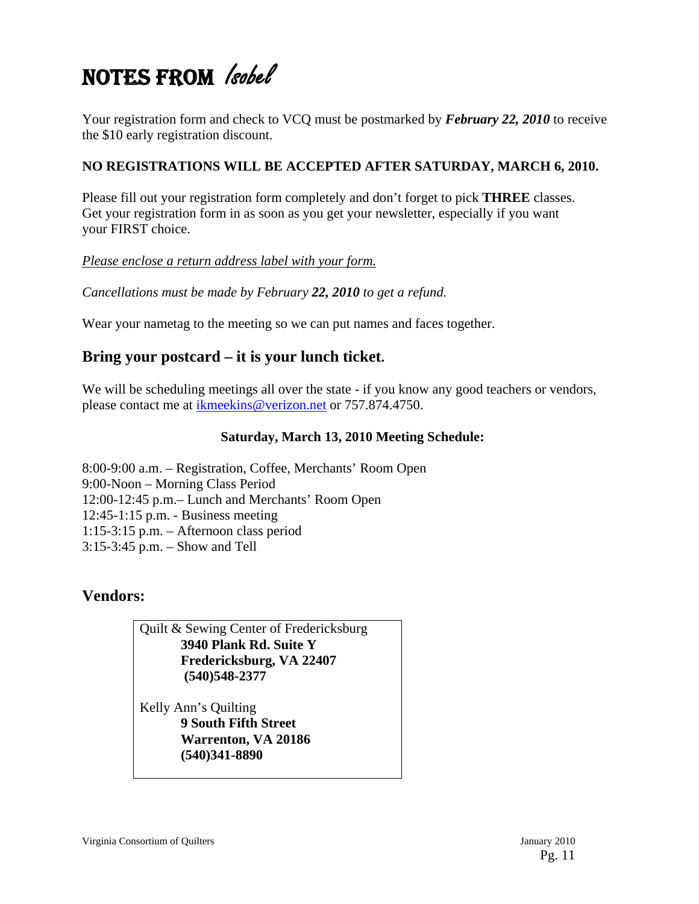# NOTES FROM *Isobel*

Your registration form and check to VCQ must be postmarked by *February 22, 2010* to receive the \$10 early registration discount.

## **NO REGISTRATIONS WILL BE ACCEPTED AFTER SATURDAY, MARCH 6, 2010.**

Please fill out your registration form completely and don't forget to pick **THREE** classes. Get your registration form in as soon as you get your newsletter, especially if you want your FIRST choice.

*Please enclose a return address label with your form.*

*Cancellations must be made by February 22, 2010 to get a refund.* 

Wear your nametag to the meeting so we can put names and faces together.

## **Bring your postcard – it is your lunch ticket.**

We will be scheduling meetings all over the state - if you know any good teachers or vendors, please contact me at ikmeekins@verizon.net or 757.874.4750.

## **Saturday, March 13, 2010 Meeting Schedule:**

8:00-9:00 a.m. – Registration, Coffee, Merchants' Room Open 9:00-Noon – Morning Class Period 12:00-12:45 p.m.– Lunch and Merchants' Room Open 12:45-1:15 p.m. - Business meeting 1:15-3:15 p.m. – Afternoon class period 3:15-3:45 p.m. – Show and Tell

## **Vendors:**

Quilt & Sewing Center of Fredericksburg **3940 Plank Rd. Suite Y Fredericksburg, VA 22407 (540)548-2377** 

Kelly Ann's Quilting  **9 South Fifth Street Warrenton, VA 20186 (540)341-8890**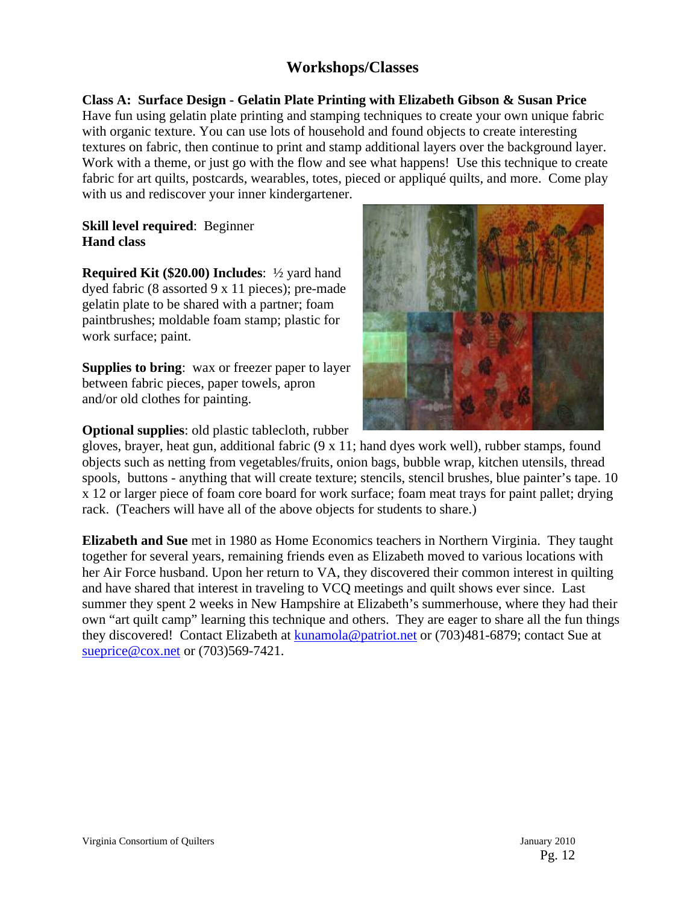## **Workshops/Classes**

**Class A: Surface Design - Gelatin Plate Printing with Elizabeth Gibson & Susan Price**  Have fun using gelatin plate printing and stamping techniques to create your own unique fabric with organic texture. You can use lots of household and found objects to create interesting textures on fabric, then continue to print and stamp additional layers over the background layer. Work with a theme, or just go with the flow and see what happens! Use this technique to create fabric for art quilts, postcards, wearables, totes, pieced or appliqué quilts, and more. Come play with us and rediscover your inner kindergartener.

## **Skill level required**: Beginner **Hand class**

**Required Kit (\$20.00) Includes**: ½ yard hand dyed fabric (8 assorted 9 x 11 pieces); pre-made gelatin plate to be shared with a partner; foam paintbrushes; moldable foam stamp; plastic for work surface; paint.

**Supplies to bring:** wax or freezer paper to layer between fabric pieces, paper towels, apron and/or old clothes for painting.

**Optional supplies**: old plastic tablecloth, rubber



gloves, brayer, heat gun, additional fabric (9 x 11; hand dyes work well), rubber stamps, found objects such as netting from vegetables/fruits, onion bags, bubble wrap, kitchen utensils, thread spools, buttons - anything that will create texture; stencils, stencil brushes, blue painter's tape. 10 x 12 or larger piece of foam core board for work surface; foam meat trays for paint pallet; drying rack. (Teachers will have all of the above objects for students to share.)

**Elizabeth and Sue** met in 1980 as Home Economics teachers in Northern Virginia. They taught together for several years, remaining friends even as Elizabeth moved to various locations with her Air Force husband. Upon her return to VA, they discovered their common interest in quilting and have shared that interest in traveling to VCQ meetings and quilt shows ever since. Last summer they spent 2 weeks in New Hampshire at Elizabeth's summerhouse, where they had their own "art quilt camp" learning this technique and others. They are eager to share all the fun things they discovered! Contact Elizabeth at kunamola@patriot.net or (703)481-6879; contact Sue at sueprice@cox.net or (703)569-7421.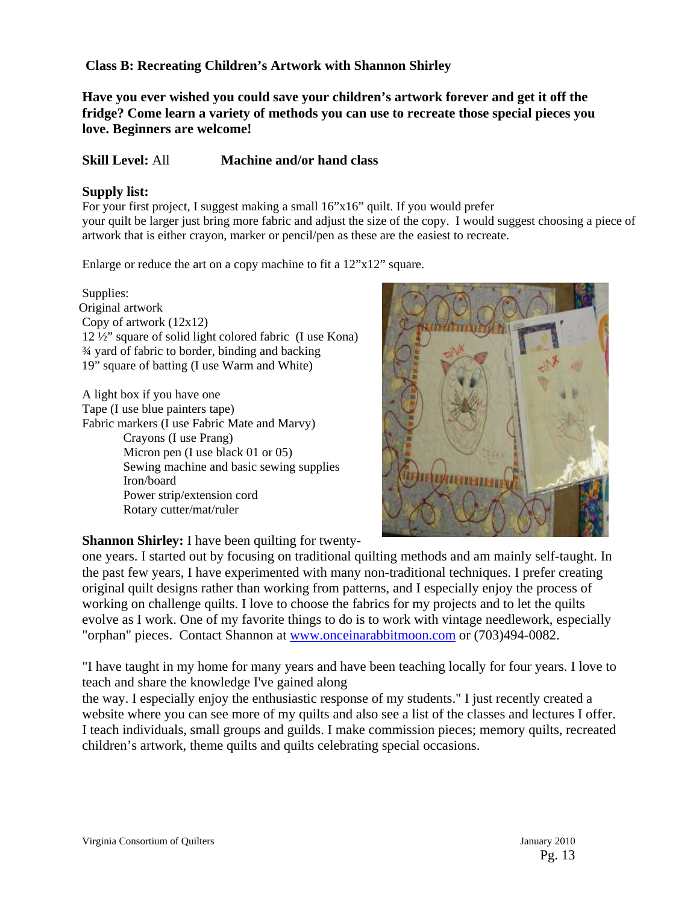## **Class B: Recreating Children's Artwork with Shannon Shirley**

**Have you ever wished you could save your children's artwork forever and get it off the fridge? Come learn a variety of methods you can use to recreate those special pieces you love. Beginners are welcome!** 

#### **Skill Level:** All **Machine and/or hand class**

#### **Supply list:**

For your first project, I suggest making a small 16"x16" quilt. If you would prefer your quilt be larger just bring more fabric and adjust the size of the copy. I would suggest choosing a piece of artwork that is either crayon, marker or pencil/pen as these are the easiest to recreate.

Enlarge or reduce the art on a copy machine to fit a 12"x12" square.

Supplies: Original artwork Copy of artwork (12x12) 12 ½" square of solid light colored fabric (I use Kona) ¾ yard of fabric to border, binding and backing 19" square of batting (I use Warm and White)

 A light box if you have one Tape (I use blue painters tape) Fabric markers (I use Fabric Mate and Marvy) Crayons (I use Prang) Micron pen (I use black 01 or 05) Sewing machine and basic sewing supplies Iron/board Power strip/extension cord Rotary cutter/mat/ruler



## **Shannon Shirley:** I have been quilting for twenty-

one years. I started out by focusing on traditional quilting methods and am mainly self-taught. In the past few years, I have experimented with many non-traditional techniques. I prefer creating original quilt designs rather than working from patterns, and I especially enjoy the process of working on challenge quilts. I love to choose the fabrics for my projects and to let the quilts evolve as I work. One of my favorite things to do is to work with vintage needlework, especially "orphan" pieces. Contact Shannon at www.onceinarabbitmoon.com or (703)494-0082.

"I have taught in my home for many years and have been teaching locally for four years. I love to teach and share the knowledge I've gained along

the way. I especially enjoy the enthusiastic response of my students." I just recently created a website where you can see more of my quilts and also see a list of the classes and lectures I offer. I teach individuals, small groups and guilds. I make commission pieces; memory quilts, recreated children's artwork, theme quilts and quilts celebrating special occasions.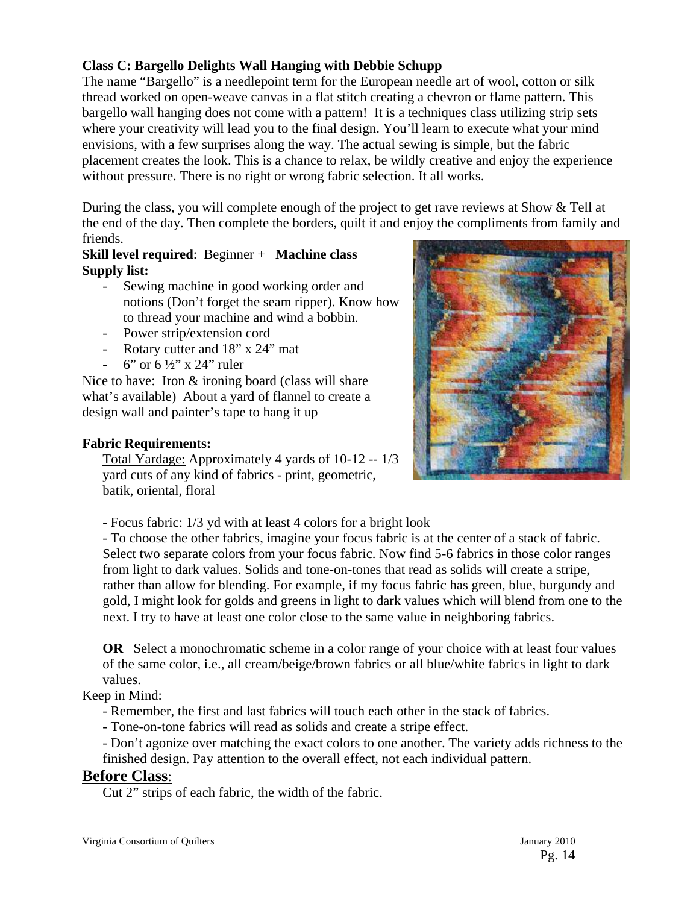## **Class C: Bargello Delights Wall Hanging with Debbie Schupp**

The name "Bargello" is a needlepoint term for the European needle art of wool, cotton or silk thread worked on open-weave canvas in a flat stitch creating a chevron or flame pattern. This bargello wall hanging does not come with a pattern! It is a techniques class utilizing strip sets where your creativity will lead you to the final design. You'll learn to execute what your mind envisions, with a few surprises along the way. The actual sewing is simple, but the fabric placement creates the look. This is a chance to relax, be wildly creative and enjoy the experience without pressure. There is no right or wrong fabric selection. It all works.

During the class, you will complete enough of the project to get rave reviews at Show & Tell at the end of the day. Then complete the borders, quilt it and enjoy the compliments from family and friends.

## **Skill level required**: Beginner + **Machine class Supply list:**

- Sewing machine in good working order and notions (Don't forget the seam ripper). Know how to thread your machine and wind a bobbin.
- Power strip/extension cord
- Rotary cutter and  $18"$  x  $24"$  mat
- 6" or  $6\frac{1}{2}$ " x 24" ruler

Nice to have: Iron & ironing board (class will share what's available) About a yard of flannel to create a design wall and painter's tape to hang it up

#### **Fabric Requirements:**

Total Yardage: Approximately 4 yards of 10-12 -- 1/3 yard cuts of any kind of fabrics - print, geometric, batik, oriental, floral



- Focus fabric: 1/3 yd with at least 4 colors for a bright look

- To choose the other fabrics, imagine your focus fabric is at the center of a stack of fabric. Select two separate colors from your focus fabric. Now find 5-6 fabrics in those color ranges from light to dark values. Solids and tone-on-tones that read as solids will create a stripe, rather than allow for blending. For example, if my focus fabric has green, blue, burgundy and gold, I might look for golds and greens in light to dark values which will blend from one to the next. I try to have at least one color close to the same value in neighboring fabrics.

**OR** Select a monochromatic scheme in a color range of your choice with at least four values of the same color, i.e., all cream/beige/brown fabrics or all blue/white fabrics in light to dark values.

## Keep in Mind:

- Remember, the first and last fabrics will touch each other in the stack of fabrics.

- Tone-on-tone fabrics will read as solids and create a stripe effect.

- Don't agonize over matching the exact colors to one another. The variety adds richness to the finished design. Pay attention to the overall effect, not each individual pattern.

## **Before Class**:

Cut 2" strips of each fabric, the width of the fabric.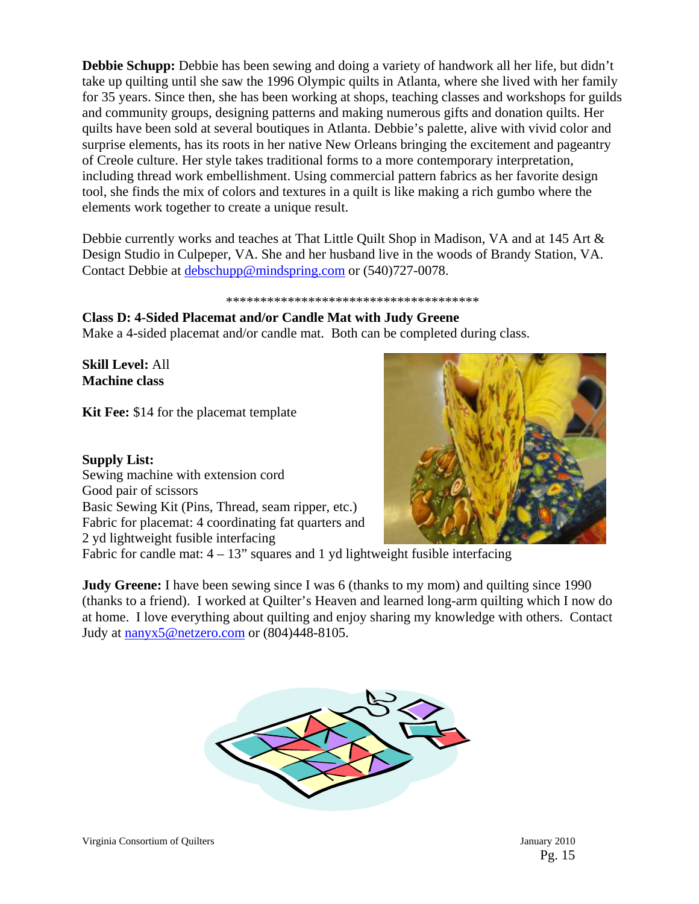**Debbie Schupp:** Debbie has been sewing and doing a variety of handwork all her life, but didn't take up quilting until she saw the 1996 Olympic quilts in Atlanta, where she lived with her family for 35 years. Since then, she has been working at shops, teaching classes and workshops for guilds and community groups, designing patterns and making numerous gifts and donation quilts. Her quilts have been sold at several boutiques in Atlanta. Debbie's palette, alive with vivid color and surprise elements, has its roots in her native New Orleans bringing the excitement and pageantry of Creole culture. Her style takes traditional forms to a more contemporary interpretation, including thread work embellishment. Using commercial pattern fabrics as her favorite design tool, she finds the mix of colors and textures in a quilt is like making a rich gumbo where the elements work together to create a unique result.

Debbie currently works and teaches at That Little Quilt Shop in Madison, VA and at 145 Art & Design Studio in Culpeper, VA. She and her husband live in the woods of Brandy Station, VA. Contact Debbie at debschupp@mindspring.com or (540)727-0078.

#### \*\*\*\*\*\*\*\*\*\*\*\*\*\*\*\*\*\*\*\*\*\*\*\*\*\*\*\*\*\*\*\*\*\*\*\*\*

**Class D: 4-Sided Placemat and/or Candle Mat with Judy Greene**  Make a 4-sided placemat and/or candle mat. Both can be completed during class.

**Skill Level:** All **Machine class** 

**Kit Fee:** \$14 for the placemat template

**Supply List:** Sewing machine with extension cord Good pair of scissors Basic Sewing Kit (Pins, Thread, seam ripper, etc.) Fabric for placemat: 4 coordinating fat quarters and 2 yd lightweight fusible interfacing



Fabric for candle mat:  $4 - 13$ " squares and 1 yd lightweight fusible interfacing

**Judy Greene:** I have been sewing since I was 6 (thanks to my mom) and quilting since 1990 (thanks to a friend). I worked at Quilter's Heaven and learned long-arm quilting which I now do at home. I love everything about quilting and enjoy sharing my knowledge with others. Contact Judy at nanyx5@netzero.com or (804)448-8105.

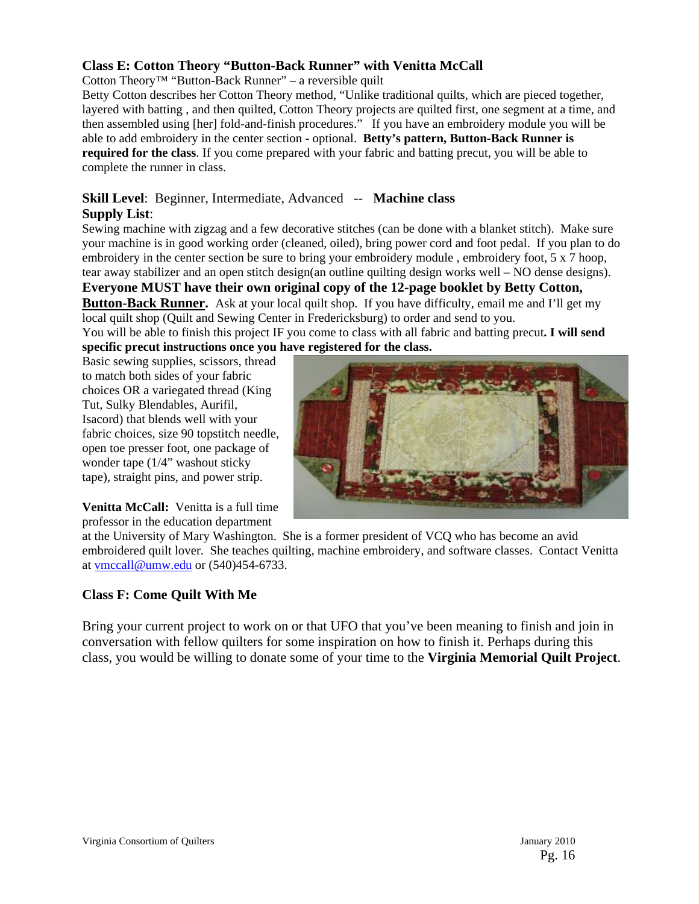## **Class E: Cotton Theory "Button-Back Runner" with Venitta McCall**

Cotton Theory<sup>™</sup> "Button-Back Runner" – a reversible quilt

Betty Cotton describes her Cotton Theory method, "Unlike traditional quilts, which are pieced together, layered with batting , and then quilted, Cotton Theory projects are quilted first, one segment at a time, and then assembled using [her] fold-and-finish procedures." If you have an embroidery module you will be able to add embroidery in the center section - optional. **Betty's pattern, Button-Back Runner is required for the class**. If you come prepared with your fabric and batting precut, you will be able to complete the runner in class.

#### **Skill Level**: Beginner, Intermediate, Advanced -- **Machine class Supply List**:

Sewing machine with zigzag and a few decorative stitches (can be done with a blanket stitch). Make sure your machine is in good working order (cleaned, oiled), bring power cord and foot pedal. If you plan to do embroidery in the center section be sure to bring your embroidery module , embroidery foot, 5 x 7 hoop, tear away stabilizer and an open stitch design(an outline quilting design works well – NO dense designs).

**Everyone MUST have their own original copy of the 12-page booklet by Betty Cotton,** 

**Button-Back Runner.** Ask at your local quilt shop. If you have difficulty, email me and I'll get my local quilt shop (Quilt and Sewing Center in Fredericksburg) to order and send to you.

You will be able to finish this project IF you come to class with all fabric and batting precut**. I will send specific precut instructions once you have registered for the class.** 

Basic sewing supplies, scissors, thread to match both sides of your fabric choices OR a variegated thread (King Tut, Sulky Blendables, Aurifil, Isacord) that blends well with your fabric choices, size 90 topstitch needle, open toe presser foot, one package of wonder tape (1/4" washout sticky tape), straight pins, and power strip.



**Venitta McCall:** Venitta is a full time professor in the education department

at the University of Mary Washington. She is a former president of VCQ who has become an avid embroidered quilt lover. She teaches quilting, machine embroidery, and software classes. Contact Venitta at vmccall@umw.edu or (540)454-6733.

## **Class F: Come Quilt With Me**

Bring your current project to work on or that UFO that you've been meaning to finish and join in conversation with fellow quilters for some inspiration on how to finish it. Perhaps during this class, you would be willing to donate some of your time to the **Virginia Memorial Quilt Project**.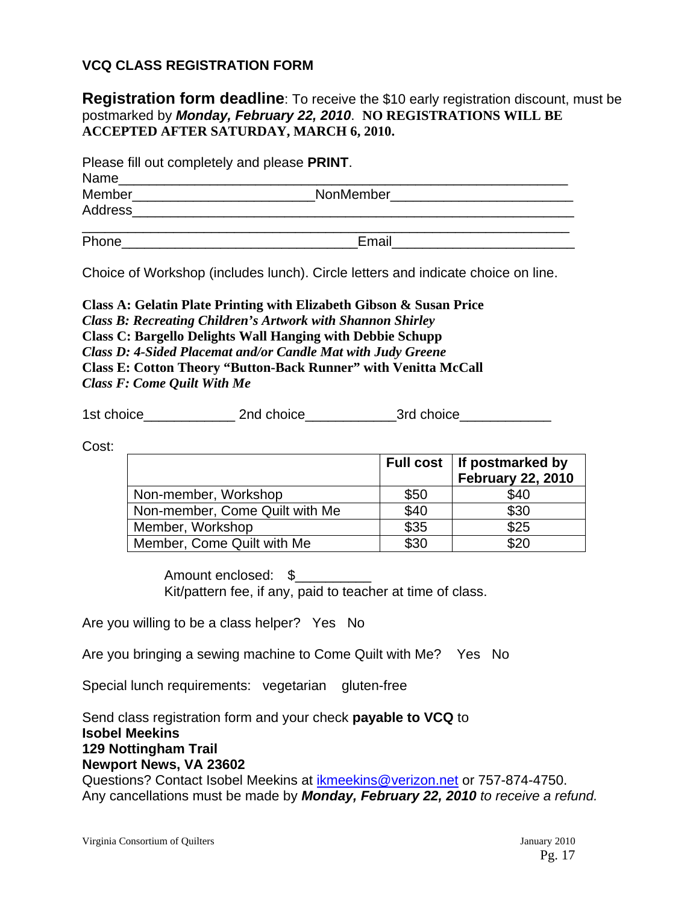## **VCQ CLASS REGISTRATION FORM**

## **Registration form deadline**: To receive the \$10 early registration discount, must be postmarked by *Monday, February 22, 2010*. **NO REGISTRATIONS WILL BE ACCEPTED AFTER SATURDAY, MARCH 6, 2010.**

Please fill out completely and please **PRINT**.

| Name           |           |  |
|----------------|-----------|--|
| Member         | NonMember |  |
| <b>Address</b> |           |  |
| Phone          | Email     |  |

Choice of Workshop (includes lunch). Circle letters and indicate choice on line.

**Class A: Gelatin Plate Printing with Elizabeth Gibson & Susan Price**  *Class B: Recreating Children's Artwork with Shannon Shirley* **Class C: Bargello Delights Wall Hanging with Debbie Schupp**  *Class D: 4-Sided Placemat and/or Candle Mat with Judy Greene*  **Class E: Cotton Theory "Button-Back Runner" with Venitta McCall**  *Class F: Come Quilt With Me* 

1st choice and choice and choice and choice and  $\overline{3}$ rd choice

Cost:

|                                |      | Full cost   If postmarked by<br><b>February 22, 2010</b> |
|--------------------------------|------|----------------------------------------------------------|
| Non-member, Workshop           | \$50 | \$40                                                     |
| Non-member, Come Quilt with Me | \$40 | \$30                                                     |
| Member, Workshop               | \$35 | \$25                                                     |
| Member, Come Quilt with Me     | \$30 | \$20                                                     |

Amount enclosed: \$ Kit/pattern fee, if any, paid to teacher at time of class.

Are you willing to be a class helper? Yes No

Are you bringing a sewing machine to Come Quilt with Me? Yes No

Special lunch requirements: vegetarian gluten-free

Send class registration form and your check **payable to VCQ** to **Isobel Meekins 129 Nottingham Trail Newport News, VA 23602** 

Questions? Contact Isobel Meekins at ikmeekins@verizon.net or 757-874-4750. Any cancellations must be made by *Monday, February 22, 2010 to receive a refund.*